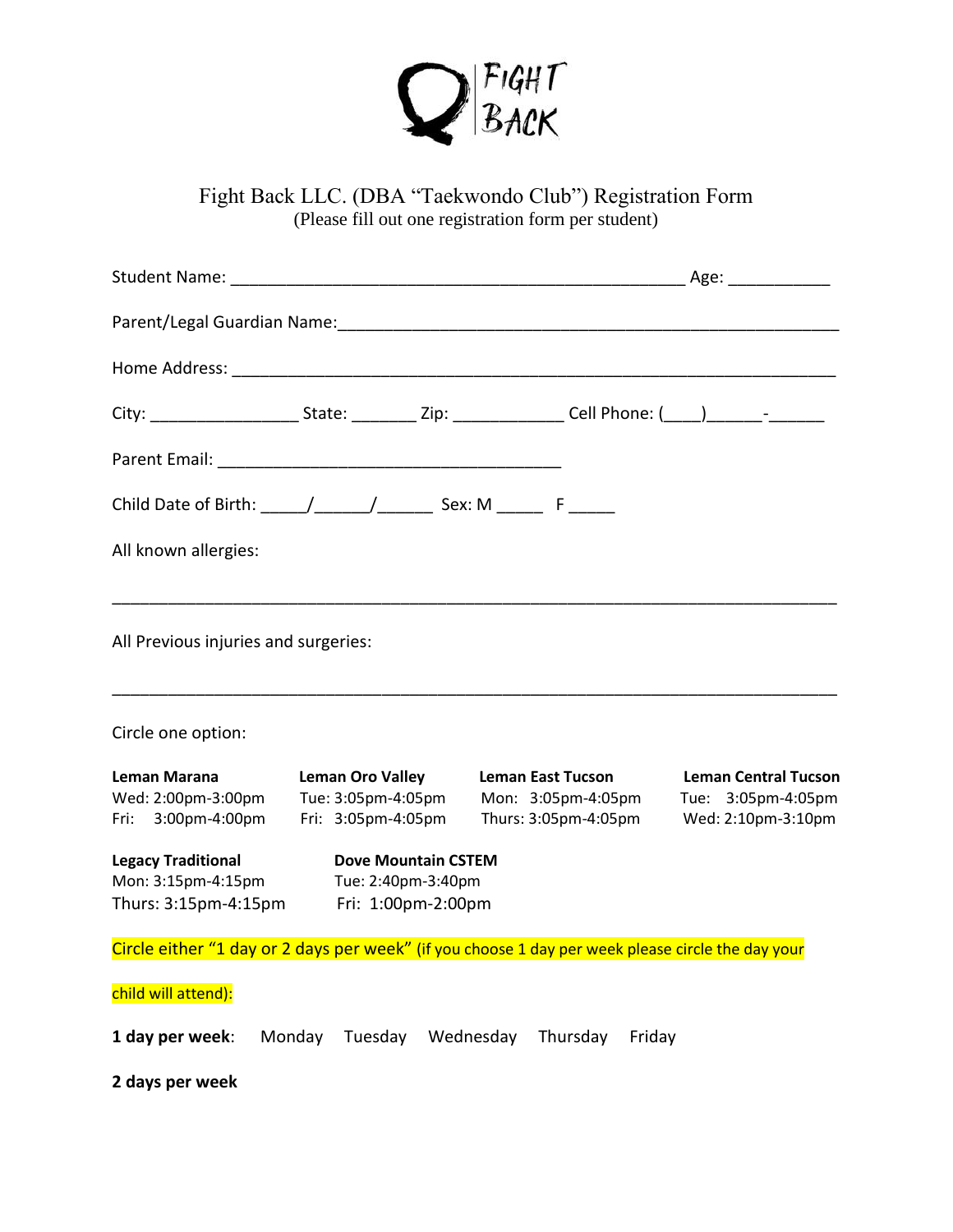

Fight Back LLC. (DBA "Taekwondo Club") Registration Form (Please fill out one registration form per student)

|                                                                                            |                                                                     | City: __________________________State: _____________Zip: _________________Cell Phone: (____)________-_________ |                                                                         |
|--------------------------------------------------------------------------------------------|---------------------------------------------------------------------|----------------------------------------------------------------------------------------------------------------|-------------------------------------------------------------------------|
|                                                                                            |                                                                     |                                                                                                                |                                                                         |
| Child Date of Birth: _____/_______/____________ Sex: M _________ F _______                 |                                                                     |                                                                                                                |                                                                         |
| All known allergies:                                                                       |                                                                     |                                                                                                                |                                                                         |
| All Previous injuries and surgeries:                                                       |                                                                     |                                                                                                                |                                                                         |
| Circle one option:                                                                         |                                                                     |                                                                                                                |                                                                         |
| Leman Marana<br>Wed: 2:00pm-3:00pm<br>Fri: 3:00pm-4:00pm                                   | <b>Leman Oro Valley</b><br>Tue: 3:05pm-4:05pm<br>Fri: 3:05pm-4:05pm | <b>Leman East Tucson</b><br>Mon: 3:05pm-4:05pm<br>Thurs: 3:05pm-4:05pm                                         | <b>Leman Central Tucson</b><br>Tue: 3:05pm-4:05pm<br>Wed: 2:10pm-3:10pm |
| <b>Legacy Traditional</b><br>Mon: 3:15pm-4:15pm<br>Thurs: 3:15pm-4:15pm Fri: 1:00pm-2:00pm | <b>Dove Mountain CSTEM</b><br>Tue: 2:40pm-3:40pm                    |                                                                                                                |                                                                         |
|                                                                                            |                                                                     | Circle either "1 day or 2 days per week" (if you choose 1 day per week please circle the day your              |                                                                         |
| child will attend):                                                                        |                                                                     |                                                                                                                |                                                                         |
| 1 day per week:                                                                            | Monday<br>Tuesday                                                   | Wednesday Thursday<br>Friday                                                                                   |                                                                         |
| 2 days per week                                                                            |                                                                     |                                                                                                                |                                                                         |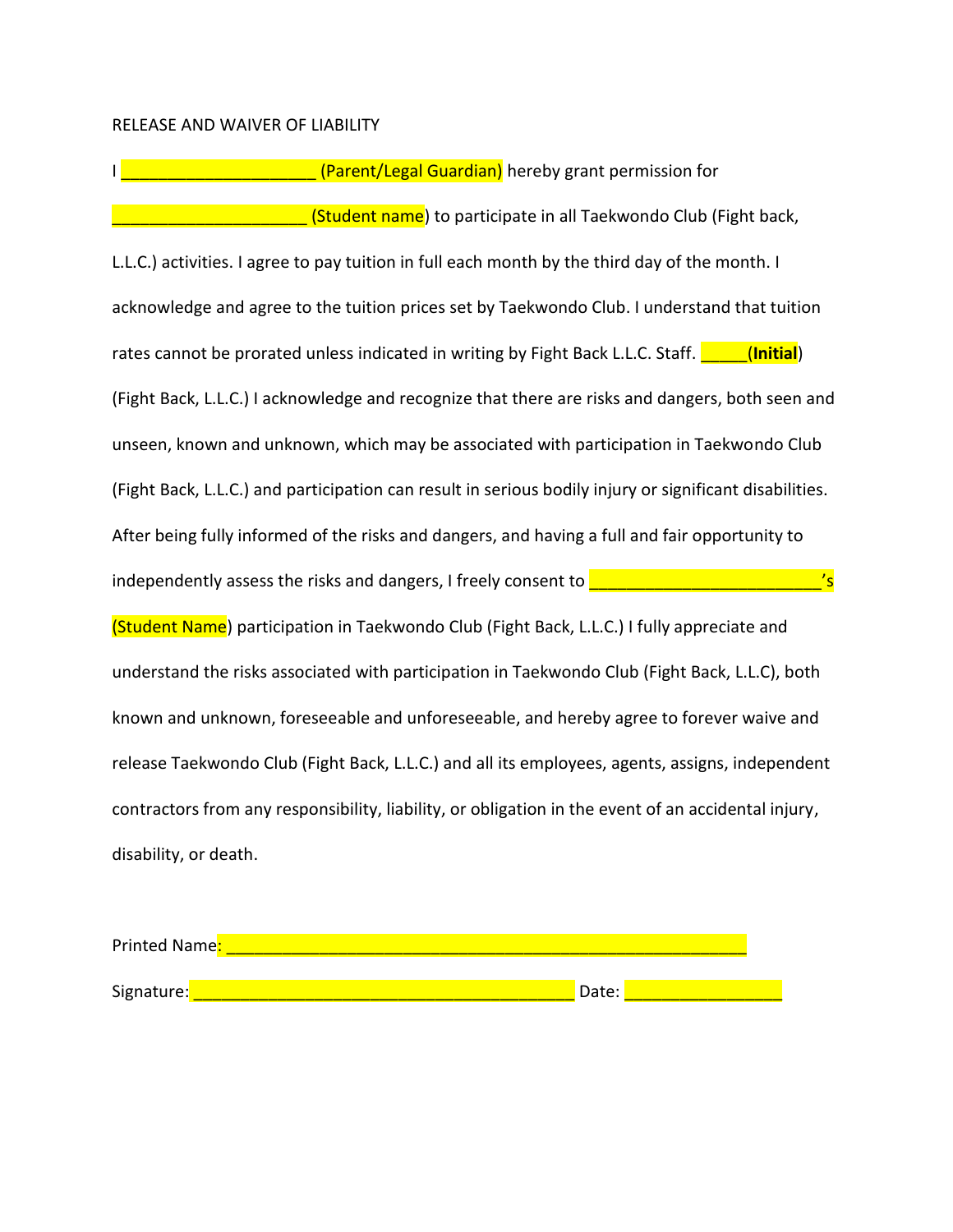## RELEASE AND WAIVER OF LIABILITY

I \_\_\_\_\_\_\_\_\_\_\_\_\_\_\_\_\_\_\_\_\_ (Parent/Legal Guardian) hereby grant permission for **External Control Control (Student name**) to participate in all Taekwondo Club (Fight back, L.L.C.) activities. I agree to pay tuition in full each month by the third day of the month. I acknowledge and agree to the tuition prices set by Taekwondo Club. I understand that tuition rates cannot be prorated unless indicated in writing by Fight Back L.L.C. Staff. **The (Initial)** (Fight Back, L.L.C.) I acknowledge and recognize that there are risks and dangers, both seen and unseen, known and unknown, which may be associated with participation in Taekwondo Club (Fight Back, L.L.C.) and participation can result in serious bodily injury or significant disabilities. After being fully informed of the risks and dangers, and having a full and fair opportunity to independently assess the risks and dangers, I freely consent to  $\frac{1}{\sqrt{2}}$ (Student Name) participation in Taekwondo Club (Fight Back, L.L.C.) I fully appreciate and understand the risks associated with participation in Taekwondo Club (Fight Back, L.L.C), both known and unknown, foreseeable and unforeseeable, and hereby agree to forever waive and release Taekwondo Club (Fight Back, L.L.C.) and all its employees, agents, assigns, independent contractors from any responsibility, liability, or obligation in the event of an accidental injury, disability, or death.

| Printed Name: |       |  |
|---------------|-------|--|
|               |       |  |
| Signature:    | Date: |  |